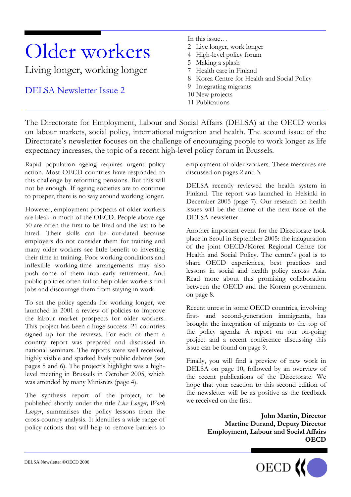# Older workers

Living longer, working longer

DELSA Newsletter Issue 2

In this issue…

- 2 Live longer, work longer
- 4 High-level policy forum
- 5 Making a splash
- 7 Health care in Finland
- 8 Korea Centre for Health and Social Policy
- 9 Integrating migrants
- 10 New projects
- 11 Publications

The Directorate for Employment, Labour and Social Affairs (DELSA) at the OECD works on labour markets, social policy, international migration and health. The second issue of the Directorate's newsletter focuses on the challenge of encouraging people to work longer as life expectancy increases, the topic of a recent high-level policy forum in Brussels.

Rapid population ageing requires urgent policy action. Most OECD countries have responded to this challenge by reforming pensions. But this will not be enough. If ageing societies are to continue to prosper, there is no way around working longer.

However, employment prospects of older workers are bleak in much of the OECD. People above age 50 are often the first to be fired and the last to be hired. Their skills can be out-dated because employers do not consider them for training and many older workers see little benefit to investing their time in training. Poor working conditions and inflexible working-time arrangements may also push some of them into early retirement. And public policies often fail to help older workers find jobs and discourage them from staying in work.

To set the policy agenda for working longer, we launched in 2001 a review of policies to improve the labour market prospects for older workers. This project has been a huge success: 21 countries signed up for the reviews. For each of them a country report was prepared and discussed in national seminars. The reports were well received, highly visible and sparked lively public debates (see pages 5 and 6). The project's highlight was a highlevel meeting in Brussels in October 2005, which was attended by many Ministers (page 4).

The synthesis report of the project, to be published shortly under the title *Live Longer, Work Longer*, summarises the policy lessons from the cross-country analysis. It identifies a wide range of policy actions that will help to remove barriers to employment of older workers. These measures are discussed on pages 2 and 3.

DELSA recently reviewed the health system in Finland. The report was launched in Helsinki in December 2005 (page 7). Our research on health issues will be the theme of the next issue of the DELSA newsletter.

Another important event for the Directorate took place in Seoul in September 2005: the inauguration of the joint OECD/Korea Regional Centre for Health and Social Policy. The centre's goal is to share OECD experiences, best practices and lessons in social and health policy across Asia. Read more about this promising collaboration between the OECD and the Korean government on page 8.

Recent unrest in some OECD countries, involving first- and second-generation immigrants, has brought the integration of migrants to the top of the policy agenda. A report on our on-going project and a recent conference discussing this issue can be found on page 9.

Finally, you will find a preview of new work in DELSA on page 10, followed by an overview of the recent publications of the Directorate. We hope that your reaction to this second edition of the newsletter will be as positive as the feedback we received on the first.

> **John Martin, Director Martine Durand, Deputy Director Employment, Labour and Social Affairs OECD**

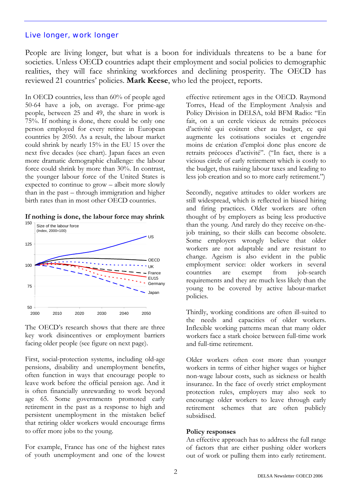# Live longer, work longer

People are living longer, but what is a boon for individuals threatens to be a bane for societies. Unless OECD countries adapt their employment and social policies to demographic realities, they will face shrinking workforces and declining prosperity. The OECD has reviewed 21 countries' policies. **Mark Keese**, who led the project, reports.

In OECD countries, less than 60% of people aged 50-64 have a job, on average. For prime-age people, between 25 and 49, the share in work is 75%. If nothing is done, there could be only one person employed for every retiree in European countries by 2050. As a result, the labour market could shrink by nearly 15% in the EU 15 over the next five decades (see chart). Japan faces an even more dramatic demographic challenge: the labour force could shrink by more than 30%. In contrast, the younger labour force of the United States is expected to continue to grow – albeit more slowly than in the past – through immigration and higher birth rates than in most other OECD countries.





The OECD's research shows that there are three key work disincentives or employment barriers facing older people (see figure on next page).

First, social-protection systems, including old-age pensions, disability and unemployment benefits, often function in ways that encourage people to leave work before the official pension age. And it is often financially unrewarding to work beyond age 65. Some governments promoted early retirement in the past as a response to high and persistent unemployment in the mistaken belief that retiring older workers would encourage firms to offer more jobs to the young.

For example, France has one of the highest rates of youth unemployment and one of the lowest effective retirement ages in the OECD. Raymond Torres, Head of the Employment Analysis and Policy Division in DELSA, told BFM Radio: "En fait, on a un cercle vicieux de retraits précoces d'activité qui coûtent cher au budget, ce qui augmente les cotisations sociales et engendre moins de création d'emploi donc plus encore de retraits précoces d'activité". ("In fact, there is a vicious circle of early retirement which is costly to the budget, thus raising labour taxes and leading to less job creation and so to more early retirement.")

Secondly, negative attitudes to older workers are still widespread, which is reflected in biased hiring and firing practices. Older workers are often thought of by employers as being less productive than the young. And rarely do they receive on-thejob training, so their skills can become obsolete. Some employers wrongly believe that older workers are not adaptable and are resistant to change. Ageism is also evident in the public employment service: older workers in several countries are exempt from job-search requirements and they are much less likely than the young to be covered by active labour-market policies.

Thirdly, working conditions are often ill-suited to the needs and capacities of older workers. Inflexible working patterns mean that many older workers face a stark choice between full-time work and full-time retirement.

Older workers often cost more than younger workers in terms of either higher wages or higher non-wage labour costs, such as sickness or health insurance. In the face of overly strict employment protection rules, employers may also seek to encourage older workers to leave through early retirement schemes that are often publicly subsidised.

#### **Policy responses**

An effective approach has to address the full range of factors that are either pushing older workers out of work or pulling them into early retirement.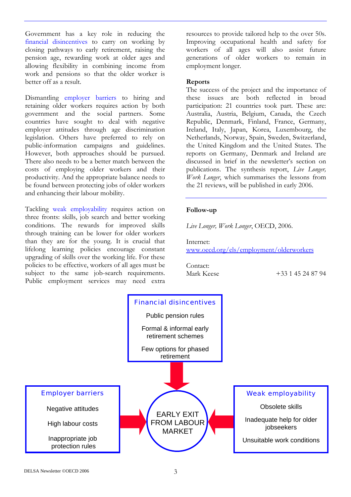Government has a key role in reducing the financial disincentives to carry on working by closing pathways to early retirement, raising the pension age, rewarding work at older ages and allowing flexibility in combining income from work and pensions so that the older worker is better off as a result.

Dismantling employer barriers to hiring and retaining older workers requires action by both government and the social partners. Some countries have sought to deal with negative employer attitudes through age discrimination legislation. Others have preferred to rely on public-information campaigns and guidelines. However, both approaches should be pursued. There also needs to be a better match between the costs of employing older workers and their productivity. And the appropriate balance needs to be found between protecting jobs of older workers and enhancing their labour mobility.

Tackling weak employability requires action on three fronts: skills, job search and better working conditions. The rewards for improved skills through training can be lower for older workers than they are for the young. It is crucial that lifelong learning policies encourage constant upgrading of skills over the working life. For these policies to be effective, workers of all ages must be subject to the same job-search requirements. Public employment services may need extra resources to provide tailored help to the over 50s. Improving occupational health and safety for workers of all ages will also assist future generations of older workers to remain in employment longer.

#### **Reports**

The success of the project and the importance of these issues are both reflected in broad participation: 21 countries took part. These are: Australia, Austria, Belgium, Canada, the Czech Republic, Denmark, Finland, France, Germany, Ireland, Italy, Japan, Korea, Luxembourg, the Netherlands, Norway, Spain, Sweden, Switzerland, the United Kingdom and the United States. The reports on Germany, Denmark and Ireland are discussed in brief in the newsletter's section on publications. The synthesis report, *Live Longer, Work Longer*, which summarises the lessons from the 21 reviews, will be published in early 2006.

# **Follow-up**

*Live Longer, Work Longer*, OECD, 2006.

Internet: [www.oecd.org/els/employment/olderworkers](http://www.oecd.org/els/employment/olderworkers)

Contact:

Mark Keese +33 1 45 24 87 94

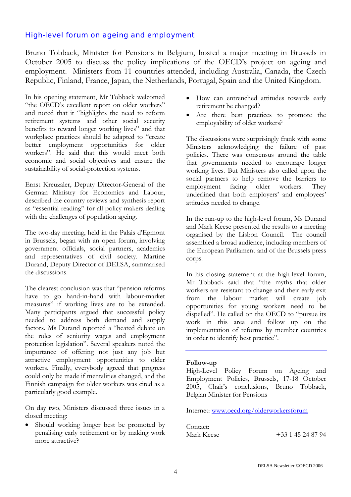# High-level forum on ageing and employment

Bruno Tobback, Minister for Pensions in Belgium, hosted a major meeting in Brussels in October 2005 to discuss the policy implications of the OECD's project on ageing and employment. Ministers from 11 countries attended, including Australia, Canada, the Czech Republic, Finland, France, Japan, the Netherlands, Portugal, Spain and the United Kingdom.

In his opening statement, Mr Tobback welcomed "the OECD's excellent report on older workers" and noted that it "highlights the need to reform retirement systems and other social security benefits to reward longer working lives" and that workplace practices should be adapted to "create better employment opportunities for older workers". He said that this would meet both economic and social objectives and ensure the sustainability of social-protection systems.

Ernst Kreuzaler, Deputy Director-General of the German Ministry for Economics and Labour, described the country reviews and synthesis report as "essential reading" for all policy makers dealing with the challenges of population ageing.

The two-day meeting, held in the Palais d'Egmont in Brussels, began with an open forum, involving government officials, social partners, academics and representatives of civil society. Martine Durand, Deputy Director of DELSA, summarised the discussions.

The clearest conclusion was that "pension reforms have to go hand-in-hand with labour-market measures" if working lives are to be extended. Many participants argued that successful policy needed to address both demand and supply factors. Ms Durand reported a "heated debate on the roles of seniority wages and employment protection legislation". Several speakers noted the importance of offering not just any job but attractive employment opportunities to older workers. Finally, everybody agreed that progress could only be made if mentalities changed, and the Finnish campaign for older workers was cited as a particularly good example.

On day two, Ministers discussed three issues in a closed meeting:

Should working longer best be promoted by penalising early retirement or by making work more attractive?

- How can entrenched attitudes towards early retirement be changed?
- Are there best practices to promote the employability of older workers?

The discussions were surprisingly frank with some Ministers acknowledging the failure of past policies. There was consensus around the table that governments needed to encourage longer working lives. But Ministers also called upon the social partners to help remove the barriers to employment facing older workers. They underlined that both employers' and employees' attitudes needed to change.

In the run-up to the high-level forum, Ms Durand and Mark Keese presented the results to a meeting organised by the Lisbon Council. The council assembled a broad audience, including members of the European Parliament and of the Brussels press corps.

In his closing statement at the high-level forum, Mr Tobback said that "the myths that older workers are resistant to change and their early exit from the labour market will create job opportunities for young workers need to be dispelled". He called on the OECD to "pursue its work in this area and follow up on the implementation of reforms by member countries in order to identify best practice".

#### **Follow-up**

High-Level Policy Forum on Ageing and Employment Policies, Brussels, 17-18 October 2005, Chair's conclusions, Bruno Tobback, Belgian Minister for Pensions

Internet: [www.oecd.org/olderworkersforum](http://www.oecd.org/olderworkersforum)

Contact:

Mark Keese +33 1 45 24 87 94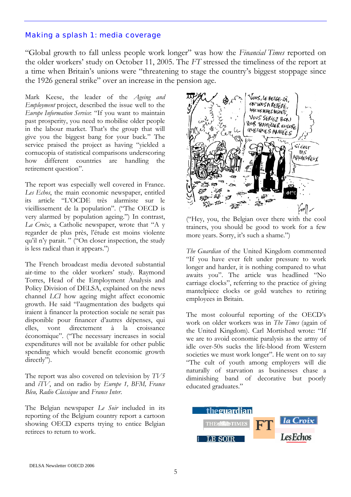# Making a splash 1: media coverage

"Global growth to fall unless people work longer" was how the *Financial Times* reported on the older workers' study on October 11, 2005. The *FT* stressed the timeliness of the report at a time when Britain's unions were "threatening to stage the country's biggest stoppage since the 1926 general strike" over an increase in the pension age.

Mark Keese, the leader of the *Ageing and Employment* project, described the issue well to the *Europe Information Service*: "If you want to maintain past prosperity, you need to mobilise older people in the labour market. That's the group that will give you the biggest bang for your buck." The service praised the project as having "yielded a cornucopia of statistical comparisons underscoring how different countries are handling the retirement question".

The report was especially well covered in France. *Les Echos*, the main economic newspaper, entitled its article "L'OCDE très alarmiste sur le vieillissement de la population". ("The OECD is very alarmed by population ageing.") In contrast, *La Croix*, a Catholic newspaper, wrote that "A y regarder de plus près, l'étude est moins violente qu'il n'y parait. " ("On closer inspection, the study is less radical than it appears.")

The French broadcast media devoted substantial air-time to the older workers' study. Raymond Torres, Head of the Employment Analysis and Policy Division of DELSA, explained on the news channel *LCI* how ageing might affect economic growth. He said "l'augmentation des budgets qui iraient à financer la protection sociale ne serait pas disponible pour financer d'autres dépenses, qui elles, vont directement à la croissance économique". ("The necessary increases in social expenditures will not be available for other public spending which would benefit economic growth directly").

The report was also covered on television by *TV5* and *iTV*, and on radio by *Europe 1, BFM, France Bleu, Radio Classique* and *France Inter*.

The Belgian newspaper *Le Soir* included in its reporting of the Belgium country report a cartoon showing OECD experts trying to entice Belgian retirees to return to work.



("Hey, you, the Belgian over there with the cool trainers, you should be good to work for a few more years. Sorry, it's such a shame.")

*The Guardian* of the United Kingdom commented "If you have ever felt under pressure to work longer and harder, it is nothing compared to what awaits you". The article was headlined "No carriage clocks", referring to the practice of giving mantelpiece clocks or gold watches to retiring employees in Britain.

The most colourful reporting of the OECD's work on older workers was in *The Times* (again of the United Kingdom). Carl Mortished wrote: "If we are to avoid economic paralysis as the army of idle over-50s sucks the life-blood from Western societies we must work longer". He went on to say "The cult of youth among employers will die naturally of starvation as businesses chase a diminishing band of decorative but poorly educated graduates."

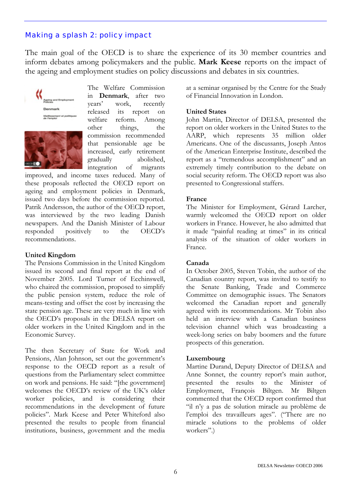# Making a splash 2: policy impact

The main goal of the OECD is to share the experience of its 30 member countries and inform debates among policymakers and the public. **Mark Keese** reports on the impact of the ageing and employment studies on policy discussions and debates in six countries.



The Welfare Commission in **Denmark**, after two years' work, recently released its report on welfare reform. Among other things, the commission recommended that pensionable age be increased, early retirement gradually abolished, integration of migrants

improved, and income taxes reduced. Many of these proposals reflected the OECD report on ageing and employment policies in Denmark, issued two days before the commission reported. Patrik Andersson, the author of the OECD report, was interviewed by the two leading Danish newspapers. And the Danish Minister of Labour responded positively to the OECD's recommendations.

#### **United Kingdom**

The Pensions Commission in the United Kingdom issued its second and final report at the end of November 2005. Lord Turner of Ecchinswell, who chaired the commission, proposed to simplify the public pension system, reduce the role of means-testing and offset the cost by increasing the state pension age. These are very much in line with the OECD's proposals in the DELSA report on older workers in the United Kingdom and in the Economic Survey.

The then Secretary of State for Work and Pensions, Alan Johnson, set out the government's response to the OECD report as a result of questions from the Parliamentary select committee on work and pensions. He said: "[the government] welcomes the OECD's review of the UK's older worker policies, and is considering their recommendations in the development of future policies". Mark Keese and Peter Whiteford also presented the results to people from financial institutions, business, government and the media

at a seminar organised by the Centre for the Study of Financial Innovation in London.

# **United States**

John Martin, Director of DELSA, presented the report on older workers in the United States to the AARP, which represents 35 million older Americans. One of the discussants, Joseph Antos of the American Enterprise Institute, described the report as a "tremendous accomplishment" and an extremely timely contribution to the debate on social security reform. The OECD report was also presented to Congressional staffers.

# **France**

The Minister for Employment, Gérard Larcher, warmly welcomed the OECD report on older workers in France. However, he also admitted that it made "painful reading at times" in its critical analysis of the situation of older workers in France.

# **Canada**

In October 2005, Steven Tobin, the author of the Canadian country report, was invited to testify to the Senate Banking, Trade and Commerce Committee on demographic issues. The Senators welcomed the Canadian report and generally agreed with its recommendations. Mr Tobin also held an interview with a Canadian business television channel which was broadcasting a week-long series on baby boomers and the future prospects of this generation.

# **Luxembourg**

Martine Durand, Deputy Director of DELSA and Anne Sonnet, the country report's main author, presented the results to the Minister of Employment, François Biltgen. Mr Biltgen commented that the OECD report confirmed that "il n'y a pas de solution miracle au problème de l'emploi des travailleurs ages". ("There are no miracle solutions to the problems of older workers".)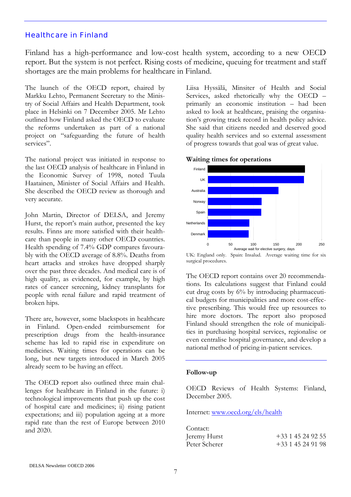# Healthcare in Finland

Finland has a high-performance and low-cost health system, according to a new OECD report. But the system is not perfect. Rising costs of medicine, queuing for treatment and staff shortages are the main problems for healthcare in Finland.

The launch of the OECD report, chaired by Markku Lehto, Permanent Secretary to the Ministry of Social Affairs and Health Department, took place in Helsinki on 7 December 2005. Mr Lehto outlined how Finland asked the OECD to evaluate the reforms undertaken as part of a national project on "safeguarding the future of health services".

The national project was initiated in response to the last OECD analysis of healthcare in Finland in the Economic Survey of 1998, noted Tuula Haatainen, Minister of Social Affairs and Health. She described the OECD review as thorough and very accurate.

John Martin, Director of DELSA, and Jeremy Hurst, the report's main author, presented the key results. Finns are more satisfied with their healthcare than people in many other OECD countries. Health spending of 7.4% GDP compares favourably with the OECD average of 8.8%. Deaths from heart attacks and strokes have dropped sharply over the past three decades. And medical care is of high quality, as evidenced, for example, by high rates of cancer screening, kidney transplants for people with renal failure and rapid treatment of broken hips.

There are, however, some blackspots in healthcare in Finland. Open-ended reimbursement for prescription drugs from the health-insurance scheme has led to rapid rise in expenditure on medicines. Waiting times for operations can be long, but new targets introduced in March 2005 already seem to be having an effect.

The OECD report also outlined three main challenges for healthcare in Finland in the future: i) technological improvements that push up the cost of hospital care and medicines; ii) rising patient expectations; and iii) population ageing at a more rapid rate than the rest of Europe between 2010 and 2020.

Liisa Hyssälä, Minsiter of Health and Social Services, asked rhetorically why the OECD – primarily an economic institution – had been asked to look at healthcare, praising the organisation's growing track record in health policy advice. She said that citizens needed and deserved good quality health services and so external assessment of progress towards that goal was of great value.



**Waiting times for operations** 

UK: England only. Spain: Insalud. Average waiting time for six surgical procedures.

The OECD report contains over 20 recommendations. Its calculations suggest that Finland could cut drug costs by 6% by introducing pharmaceutical budgets for municipalities and more cost-effective prescribing. This would free up resources to hire more doctors. The report also proposed Finland should strengthen the role of municipalities in purchasing hospital services, regionalise or even centralise hospital governance, and develop a national method of pricing in-patient services.

#### **Follow-up**

OECD Reviews of Health Systems: Finland, December 2005.

Internet: [www.oecd.org/els/health](http://www.oecd.org/els/health)

| Contact:      |                |
|---------------|----------------|
| Jeremy Hurst  | $+33145249255$ |
| Peter Scherer | $+33145249198$ |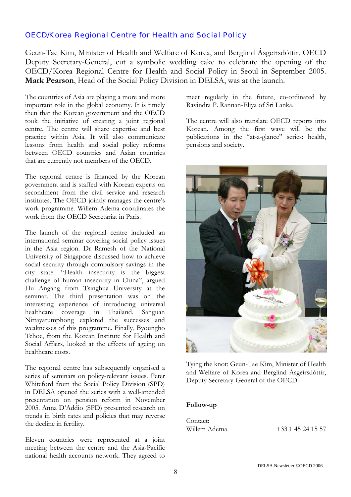# OECD/Korea Regional Centre for Health and Social Policy

Geun-Tae Kim, Minister of Health and Welfare of Korea, and Berglind Ásgeirsdóttir, OECD Deputy Secretary-General, cut a symbolic wedding cake to celebrate the opening of the OECD/Korea Regional Centre for Health and Social Policy in Seoul in September 2005. **Mark Pearson**, Head of the Social Policy Division in DELSA, was at the launch.

The countries of Asia are playing a more and more important role in the global economy. It is timely then that the Korean government and the OECD took the initiative of creating a joint regional centre. The centre will share expertise and best practice within Asia. It will also communicate lessons from health and social policy reforms between OECD countries and Asian countries that are currently not members of the OECD.

The regional centre is financed by the Korean government and is staffed with Korean experts on secondment from the civil service and research institutes. The OECD jointly manages the centre's work programme. Willem Adema coordinates the work from the OECD Secretariat in Paris.

The launch of the regional centre included an international seminar covering social policy issues in the Asia region. Dr Ramesh of the National University of Singapore discussed how to achieve social security through compulsory savings in the city state. "Health insecurity is the biggest challenge of human insecurity in China", argued Hu Angang from Tsinghua University at the seminar. The third presentation was on the interesting experience of introducing universal healthcare coverage in Thailand. Sanguan Nittayarumphong explored the successes and weaknesses of this programme. Finally, Byoungho Tchoe, from the Korean Institute for Health and Social Affairs, looked at the effects of ageing on healthcare costs.

The regional centre has subsequently organised a series of seminars on policy-relevant issues. Peter Whiteford from the Social Policy Division (SPD) in DELSA opened the series with a well-attended presentation on pension reform in November 2005. Anna D'Addio (SPD) presented research on trends in birth rates and policies that may reverse the decline in fertility.

Eleven countries were represented at a joint meeting between the centre and the Asia-Pacific national health accounts network. They agreed to

meet regularly in the future, co-ordinated by Ravindra P. Rannan-Eliya of Sri Lanka.

The centre will also translate OECD reports into Korean. Among the first wave will be the publications in the "at-a-glance" series: health, pensions and society.



Tying the knot: Geun-Tae Kim, Minister of Health and Welfare of Korea and Berglind Ásgeirsdóttir, Deputy Secretary-General of the OECD.

#### **Follow-up**

| Contact:     |                |  |  |
|--------------|----------------|--|--|
| Willem Adema | $+33145241557$ |  |  |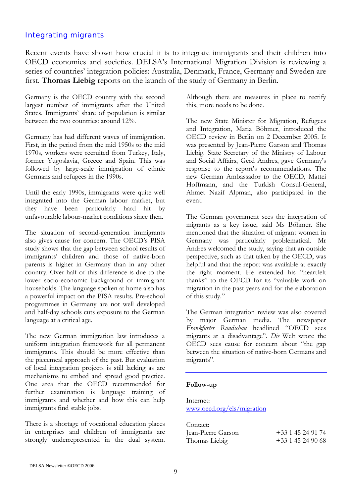# Integrating migrants

Recent events have shown how crucial it is to integrate immigrants and their children into OECD economies and societies. DELSA's International Migration Division is reviewing a series of countries' integration policies: Australia, Denmark, France, Germany and Sweden are first. **Thomas Liebig** reports on the launch of the study of Germany in Berlin.

Germany is the OECD country with the second largest number of immigrants after the United States. Immigrants' share of population is similar between the two countries: around 12%.

Germany has had different waves of immigration. First, in the period from the mid 1950s to the mid 1970s, workers were recruited from Turkey, Italy, former Yugoslavia, Greece and Spain. This was followed by large-scale immigration of ethnic Germans and refugees in the 1990s.

Until the early 1990s, immigrants were quite well integrated into the German labour market, but they have been particularly hard hit by unfavourable labour-market conditions since then.

The situation of second-generation immigrants also gives cause for concern. The OECD's PISA study shows that the gap between school results of immigrants' children and those of native-born parents is higher in Germany than in any other country. Over half of this difference is due to the lower socio-economic background of immigrant households. The language spoken at home also has a powerful impact on the PISA results. Pre-school programmes in Germany are not well developed and half-day schools cuts exposure to the German language at a critical age.

The new German immigration law introduces a uniform integration framework for all permanent immigrants. This should be more effective than the piecemeal approach of the past. But evaluation of local integration projects is still lacking as are mechanisms to embed and spread good practice. One area that the OECD recommended for further examination is language training of immigrants and whether and how this can help immigrants find stable jobs.

There is a shortage of vocational education places in enterprises and children of immigrants are strongly underrepresented in the dual system. Although there are measures in place to rectify this, more needs to be done.

The new State Minister for Migration, Refugees and Integration, Maria Böhmer, introduced the OECD review in Berlin on 2 December 2005. It was presented by Jean-Pierre Garson and Thomas Liebig. State Secretary of the Ministry of Labour and Social Affairs, Gerd Andres, gave Germany's response to the report's recommendations. The new German Ambassador to the OECD, Mattei Hoffmann, and the Turkish Consul-General, Ahmet Nazif Alpman, also participated in the event.

The German government sees the integration of migrants as a key issue, said Ms Böhmer. She mentioned that the situation of migrant women in Germany was particularly problematical. Mr Andres welcomed the study, saying that an outside perspective, such as that taken by the OECD, was helpful and that the report was available at exactly the right moment. He extended his "heartfelt thanks" to the OECD for its "valuable work on migration in the past years and for the elaboration of this study."

The German integration review was also covered by major German media. The newspaper *Frankfurter Rundschau* headlined "OECD sees migrants at a disadvantage". *Die* Welt wrote the OECD sees cause for concern about "the gap between the situation of native-born Germans and migrants".

#### **Follow-up**

Internet: [www.oecd.org/els/migration](http://www.oecd.org/els/migration)

| Contact:           |                |
|--------------------|----------------|
| Jean-Pierre Garson | $+33145249174$ |
| Thomas Liebig      | $+33145249068$ |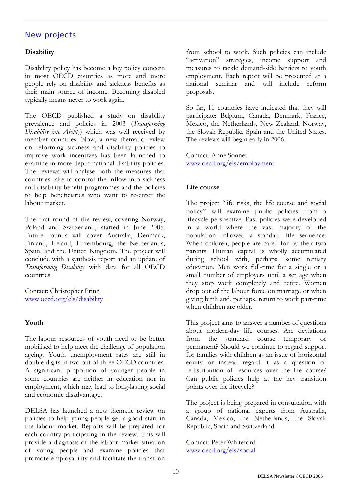# New projects

# **Disability**

Disability policy has become a key policy concern in most OECD countries as more and more people rely on disability and sickness benefits as their main source of income. Becoming disabled typically means never to work again.

The OECD published a study on disability prevalence and policies in 2003 (*Transforming Disability into Ability*) which was well received by member countries. Now, a new thematic review on reforming sickness and disability policies to improve work incentives has been launched to examine in more depth national disability policies. The reviews will analyse both the measures that countries take to control the inflow into sickness and disability benefit programmes and the policies to help beneficiaries who want to re-enter the labour market.

The first round of the review, covering Norway, Poland and Switzerland, started in June 2005. Future rounds will cover Australia, Denmark, Finland, Ireland, Luxembourg, the Netherlands, Spain, and the United Kingdom. The project will conclude with a synthesis report and an update of *Transforming Disability* with data for all OECD countries.

Contact: Christopher Prinz [www.oecd.org/els/disability](http://www.oecd.org/els/disability)

# **Youth**

The labour resources of youth need to be better mobilised to help meet the challenge of population ageing. Youth unemployment rates are still in double digits in two out of three OECD countries. A significant proportion of younger people in some countries are neither in education nor in employment, which may lead to long-lasting social and economic disadvantage.

DELSA has launched a new thematic review on policies to help young people get a good start in the labour market. Reports will be prepared for each country participating in the review. This will provide a diagnosis of the labour-market situation of young people and examine policies that promote employability and facilitate the transition

from school to work. Such policies can include "activation" strategies, income support and measures to tackle demand-side barriers to youth employment. Each report will be presented at a national seminar and will include reform proposals.

So far, 11 countries have indicated that they will participate: Belgium, Canada, Denmark, France, Mexico, the Netherlands, New Zealand, Norway, the Slovak Republic, Spain and the United States. The reviews will begin early in 2006.

Contact: Anne Sonnet [www.oecd.org/els/employment](http://www.oecd.org/els/employment)

#### **Life course**

The project "life risks, the life course and social policy" will examine public policies from a lifecycle perspective. Past policies were developed in a world where the vast majority of the population followed a standard life sequence. When children, people are cared for by their two parents. Human capital is wholly accumulated during school with, perhaps, some tertiary education. Men work full-time for a single or a small number of employers until a set age when they stop work completely and retire. Women drop out of the labour force on marriage or when giving birth and, perhaps, return to work part-time when children are older.

This project aims to answer a number of questions about modern-day life courses. Are deviations from the standard course temporary or permanent? Should we continue to regard support for families with children as an issue of horizontal equity or instead regard it as a question of redistribution of resources over the life course? Can public policies help at the key transition points over the lifecycle?

The project is being prepared in consultation with a group of national experts from Australia, Canada, Mexico, the Netherlands, the Slovak Republic, Spain and Switzerland.

Contact: Peter Whiteford [www.oecd.org/els/social](http://www.oecd.org/els/social)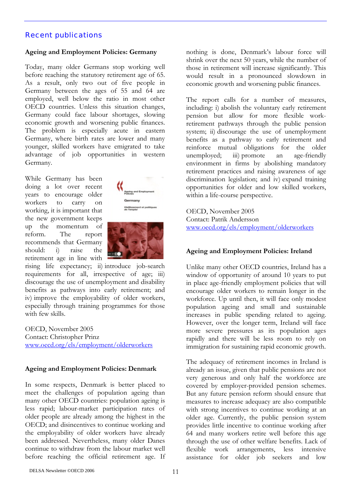# Recent publications

#### **Ageing and Employment Policies: Germany**

Today, many older Germans stop working well before reaching the statutory retirement age of 65. As a result, only two out of five people in Germany between the ages of 55 and 64 are employed, well below the ratio in most other OECD countries. Unless this situation changes, Germany could face labour shortages, slowing economic growth and worsening public finances. The problem is especially acute in eastern Germany, where birth rates are lower and many younger, skilled workers have emigrated to take advantage of job opportunities in western Germany.

While Germany has been doing a lot over recent years to encourage older workers to carry on working, it is important that the new government keeps up the momentum of reform. The report recommends that Germany should: i) raise the retirement age in line with





rising life expectancy; ii) introduce job-search requirements for all, irrespective of age; iii) discourage the use of unemployment and disability benefits as pathways into early retirement; and iv) improve the employability of older workers, especially through training programmes for those with few skills.

OECD, November 2005 Contact: Christopher Prinz [www.oecd.org/els/employment/olderworkers](http://www.oecd.org/els/employment/olderworkers)

#### **Ageing and Employment Policies: Denmark**

In some respects, Denmark is better placed to meet the challenges of population ageing than many other OECD countries: population ageing is less rapid; labour-market participation rates of older people are already among the highest in the OECD; and disincentives to continue working and the employability of older workers have already been addressed. Nevertheless, many older Danes continue to withdraw from the labour market well before reaching the official retirement age. If

nothing is done, Denmark's labour force will shrink over the next 50 years, while the number of those in retirement will increase significantly. This would result in a pronounced slowdown in economic growth and worsening public finances.

The report calls for a number of measures, including: i) abolish the voluntary early retirement pension but allow for more flexible workretirement pathways through the public pension system; ii) discourage the use of unemployment benefits as a pathway to early retirement and reinforce mutual obligations for the older unemployed; iii) promote an age-friendly environment in firms by abolishing mandatory retirement practices and raising awareness of age discrimination legislation; and iv) expand training opportunities for older and low skilled workers, within a life-course perspective.

OECD, November 2005 Contact: Patrik Andersson [www.oecd.org/els/employment/olderworkers](http://www.oecd.org/els/employment/olderworkers)

#### **Ageing and Employment Policies: Ireland**

Unlike many other OECD countries, Ireland has a window of opportunity of around 10 years to put in place age-friendly employment policies that will encourage older workers to remain longer in the workforce. Up until then, it will face only modest population ageing and small and sustainable increases in public spending related to ageing. However, over the longer term, Ireland will face more severe pressures as its population ages rapidly and there will be less room to rely on immigration for sustaining rapid economic growth.

The adequacy of retirement incomes in Ireland is already an issue, given that public pensions are not very generous and only half the workforce are covered by employer-provided pension schemes. But any future pension reform should ensure that measures to increase adequacy are also compatible with strong incentives to continue working at an older age. Currently, the public pension system provides little incentive to continue working after 64 and many workers retire well before this age through the use of other welfare benefits. Lack of flexible work arrangements, less intensive assistance for older job seekers and low